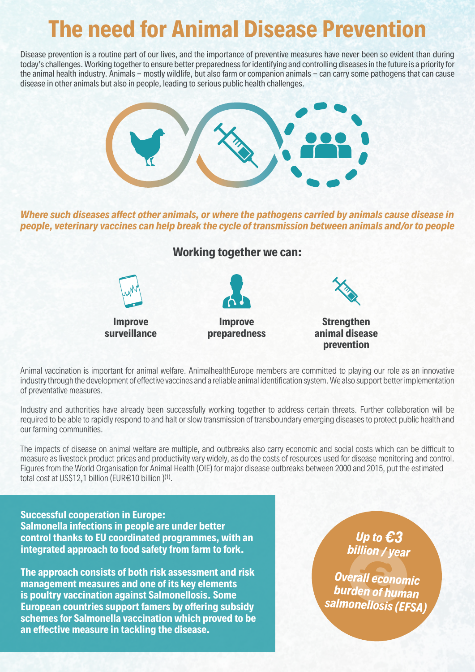# **The need for Animal Disease Prevention**

Disease prevention is a routine part of our lives, and the importance of preventive measures have never been so evident than during today's challenges. Working together to ensure better preparedness for identifying and controlling diseases in the future is a priority for the animal health industry. Animals - mostly wildlife, but also farm or companion animals - can carry some pathogens that can cause disease in other animals but also in people, leading to serious public health challenges.



*Where such diseases affect other animals, or where the pathogens carried by animals cause disease in people, veterinary vaccines can help break the cycle of transmission between animals and/or to people* 

## **Working together we can:**



Animal vaccination is important for animal welfare. AnimalhealthEurope members are committed to playing our role as an innovative industry through the development of effective vaccines and a reliable animal identification system. We also support better implementation of preventative measures.

Industry and authorities have already been successfully working together to address certain threats. Further collaboration will be required to be able to rapidly respond to and halt or slow transmission of transboundary emerging diseases to protect public health and our farming communities.

The impacts of disease on animal welfare are multiple, and outbreaks also carry economic and social costs which can be difficult to measure as livestock product prices and productivity vary widely, as do the costs of resources used for disease monitoring and control. Figures from the World Organisation for Animal Health (OIE) for major disease outbreaks between 2000 and 2015, put the estimated total cost at US\$12,1 billion (EUR€10 billion )(1).

#### **Successful cooperation in Europe:**

**Salmonella infections in people are under better control thanks to EU coordinated programmes, with an integrated approach to food safety from farm to fork.**

**The approach consists of both risk assessment and risk management measures and one of its key elements is poultry vaccination against Salmonellosis. Some European countries support famers by offering subsidy schemes for Salmonella vaccination which proved to be an effective measure in tackling the disease.**

*Up to €3 billion / year*

*Overall economic burden of human salmonellosis (EFSA)*